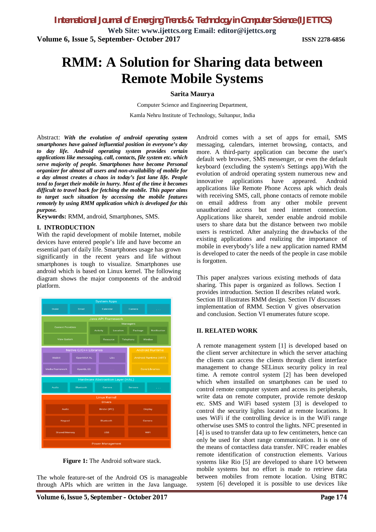**Web Site: [www.ijettcs.org](http://www.ijettcs.org) Email: [editor@ijettcs.org](mailto:editor@ijettcs.org) Volume 6, Issue 5, September- October 2017 ISSN 2278-6856**

# **RMM: A Solution for Sharing data between Remote Mobile Systems**

#### **Sarita Maurya**

Computer Science and Engineering Department, Kamla Nehru Institute of Technology, Sultanpur, India

Abstract: *With the evolution of android operating system smartphones have gained influential position in everyone's day to day life. Android operating system provides certain applications like messaging, call, contacts, file system etc. which serve majority of people. Smartphones have become Personal organizer for almost all users and non-availability of mobile for a day almost creates a chaos in today's fast lane life. People tend to forget their mobile in hurry. Most of the time it becomes difficult to travel back for fetching the mobile. This paper aims to target such situation by accessing the mobile features remotely by using RMM application which is developed for this purpose.*

**Keywords:** RMM, android, Smartphones, SMS.

#### **I. INTRODUCTION**

With the rapid development of mobile Internet, mobile devices have entered people's life and have become an essential part of daily life. Smartphones usage has grown significantly in the recent years and life without smartphones is tough to visualize. Smartphones use android which is based on Linux kernel. The following diagram shows the major components of the android platform.



**Figure 1:** The Android software stack.

The whole feature-set of the Android OS is manageable through APIs which are written in the Java language.

Android comes with a set of apps for email, SMS messaging, calendars, internet browsing, contacts, and more. A third-party application can become the user's default web browser, SMS messenger, or even the default keyboard (excluding the system's Settings app).With the evolution of android operating system numerous new and innovative applications have appeared. Android applications like Remote Phone Access apk which deals with receiving SMS, call, phone contacts of remote mobile on email address from any other mobile prevent unauthorized access but need internet connection. Applications like shareit, xender enable android mobile users to share data but the distance between two mobile users is restricted. After analyzing the drawbacks of the existing applications and realizing the importance of mobile in everybody's life a new application named RMM is developed to cater the needs of the people in case mobile is forgotten.

This paper analyzes various existing methods of data sharing. This paper is organized as follows. Section I provides introduction. Section II describes related work. Section III illustrates RMM design. Section IV discusses implementation of RMM. Section V gives observation and conclusion. Section VI enumerates future scope.

#### **II. RELATED WORK**

A remote management system [1] is developed based on the client server architecture in which the server attaching the clients can access the clients through client interface management to change SELinux security policy in real time. A remote control system [2] has been developed which when installed on smartphones can be used to control remote computer system and access its peripherals, write data on remote computer, provide remote desktop etc. SMS and WiFi based system [3] is developed to control the security lights located at remote locations. It uses WiFi if the controlling device is in the WiFi range otherwise uses SMS to control the lights. NFC presented in [4] is used to transfer data up to few centimeters, hence can only be used for short range communication. It is one of the means of contactless data transfer. NFC reader enables remote identification of construction elements. Various systems like Rio [5] are developed to share I/O between mobile systems but no effort is made to retrieve data between mobiles from remote location. Using BTRC system [6] developed it is possible to use devices like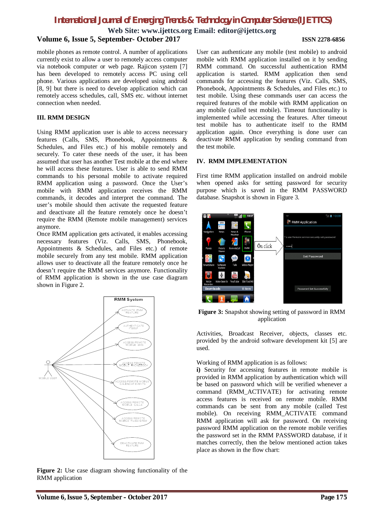**Web Site: [www.ijettcs.org](http://www.ijettcs.org) Email: [editor@ijettcs.org](mailto:editor@ijettcs.org)**

## **Volume 6, Issue 5, September- October 2017 ISSN 2278-6856**

#### mobile phones as remote control. A number of applications currently exist to allow a user to remotely access computer via notebook computer or web page. Rajicon system [7] has been developed to remotely access PC using cell phone. Various applications are developed using android [8, 9] but there is need to develop application which can remotely access schedules, call, SMS etc. without internet connection when needed.

#### **III. RMM DESIGN**

Using RMM application user is able to access necessary features (Calls, SMS, Phonebook, Appointments & Schedules, and Files etc.) of his mobile remotely and securely. To cater these needs of the user, it has been assumed that user has another Test mobile at the end where he will access these features. User is able to send RMM commands to his personal mobile to activate required RMM application using a password. Once the User's mobile with RMM application receives the RMM commands, it decodes and interpret the command. The user's mobile should then activate the requested feature and deactivate all the feature remotely once he doesn't require the RMM (Remote mobile management) services anymore.

Once RMM application gets activated, it enables accessing necessary features (Viz. Calls, SMS, Phonebook, Appointments & Schedules, and Files etc.) of remote mobile securely from any test mobile. RMM application allows user to deactivate all the feature remotely once he doesn't require the RMM services anymore. Functionality of RMM application is shown in the use case diagram shown in Figure 2.



**Figure 2:** Use case diagram showing functionality of the RMM application

User can authenticate any mobile (test mobile) to android mobile with RMM application installed on it by sending RMM command. On successful authentication RMM application is started. RMM application then send commands for accessing the features (Viz. Calls, SMS, Phonebook, Appointments & Schedules, and Files etc.) to test mobile. Using these commands user can access the required features of the mobile with RMM application on any mobile (called test mobile). Timeout functionality is implemented while accessing the features. After timeout test mobile has to authenticate itself to the RMM application again. Once everything is done user can deactivate RMM application by sending command from the test mobile.

#### **IV. RMM IMPLEMENTATION**

First time RMM application installed on android mobile when opened asks for setting password for security purpose which is saved in the RMM PASSWORD database. Snapshot is shown in Figure 3.



**Figure 3:** Snapshot showing setting of password in RMM application

Activities, Broadcast Receiver, objects, classes etc. provided by the android software development kit [5] are used.

#### Working of RMM application is as follows:

**i)** Security for accessing features in remote mobile is provided in RMM application by authentication which will be based on password which will be verified whenever a command (RMM\_ACTIVATE) for activating remote access features is received on remote mobile. RMM commands can be sent from any mobile (called Test mobile). On receiving RMM\_ACTIVATE command RMM application will ask for password. On receiving password RMM application on the remote mobile verifies the password set in the RMM PASSWORD database, if it matches correctly, then the below mentioned action takes place as shown in the flow chart: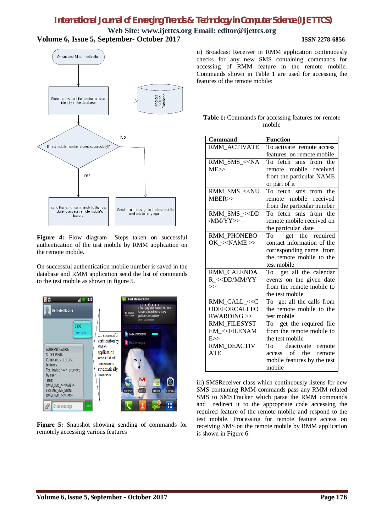**Web Site: [www.ijettcs.org](http://www.ijettcs.org) Email: [editor@ijettcs.org](mailto:editor@ijettcs.org) Volume 6, Issue 5, September- October 2017 ISSN 2278-6856**



**Figure 4:** Flow diagram– Steps taken on successful authentication of the test mobile by RMM application on the remote mobile.

On successful authentication mobile number is saved in the database and RMM application send the list of commands to the test mobile as shown in figure 5.



**Figure 5:** Snapshot showing sending of commands for remotely accessing various features

ii) Broadcast Receiver in RMM application continuously checks for any new SMS containing commands for accessing of RMM feature in the remote mobile. Commands shown in Table 1 are used for accessing the features of the remote mobile:

| <b>Table 1:</b> Commands for accessing features for remote |
|------------------------------------------------------------|
| mobile                                                     |

| <b>Command</b>                                               | <b>Function</b>             |
|--------------------------------------------------------------|-----------------------------|
| RMM ACTIVATE                                                 | To activate remote access   |
|                                                              | features on remote mobile   |
| RMM_SMS_< <na< td=""><td>To fetch sms from the</td></na<>    | To fetch sms from the       |
| ME>>                                                         | remote mobile received      |
|                                                              | from the particular NAME    |
|                                                              | or part of it               |
| RMM SMS < <nu< td=""><td>To fetch sms from the</td></nu<>    | To fetch sms from the       |
| MBER                                                         | remote mobile received      |
|                                                              | from the particular number  |
| RMM_SMS_< <dd< td=""><td>To fetch sms from the</td></dd<>    | To fetch sms from the       |
| /MM/YY>>                                                     | remote mobile received on   |
|                                                              | the particular date         |
| RMM PHONEBO                                                  | get the required<br>To      |
| OK < <name>&gt;</name>                                       | contact information of the  |
|                                                              | corresponding name from     |
|                                                              | the remote mobile to the    |
|                                                              | test mobile                 |
| RMM_CALENDA                                                  | To get all the calendar     |
| R << DD/MM/YY                                                | events on the given date    |
| >                                                            | from the remote mobile to   |
|                                                              | the test mobile             |
| RMM_CALL_< <c< td=""><td>To get all the calls from</td></c<> | To get all the calls from   |
| <b>ODEFORCALLFO</b>                                          | the remote mobile to the    |
| RWARDING                                                     | test mobile                 |
| RMM FILESYST                                                 | To get the required file    |
| <b>EM &lt;<filenam< b=""></filenam<></b>                     | from the remote mobile to   |
| E>>                                                          | the test mobile             |
| <b>RMM_DEACTIV</b>                                           | To deactivate remote        |
| <b>ATE</b>                                                   | of<br>the remote<br>access  |
|                                                              | mobile features by the test |
|                                                              | mobile                      |

iii) SMSReceiver class which continuously listens for new SMS containing RMM commands pass any RMM related SMS to SMSTracker which parse the RMM commands and redirect it to the appropriate code accessing the required feature of the remote mobile and respond to the test mobile. Processing for remote feature access on receiving SMS on the remote mobile by RMM application is shown in Figure 6.